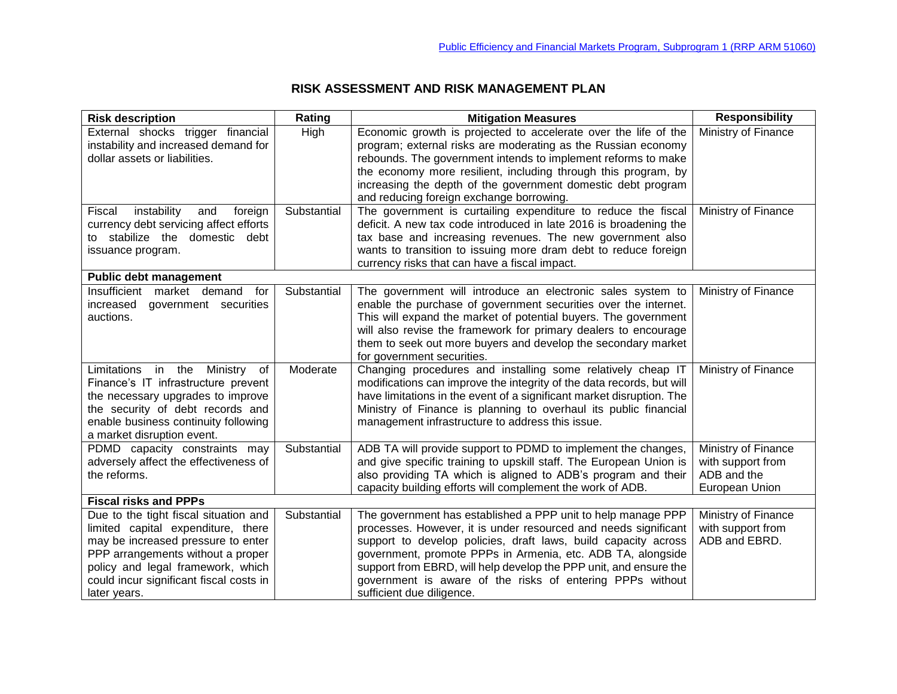## **RISK ASSESSMENT AND RISK MANAGEMENT PLAN**

| <b>Risk description</b>                                                                                                                                                                                                                                | Rating      | <b>Mitigation Measures</b>                                                                                                                                                                                                                                                                                                                                                                                                      | <b>Responsibility</b>                                                     |
|--------------------------------------------------------------------------------------------------------------------------------------------------------------------------------------------------------------------------------------------------------|-------------|---------------------------------------------------------------------------------------------------------------------------------------------------------------------------------------------------------------------------------------------------------------------------------------------------------------------------------------------------------------------------------------------------------------------------------|---------------------------------------------------------------------------|
| External shocks trigger financial<br>instability and increased demand for<br>dollar assets or liabilities.                                                                                                                                             | High        | Economic growth is projected to accelerate over the life of the<br>program; external risks are moderating as the Russian economy<br>rebounds. The government intends to implement reforms to make<br>the economy more resilient, including through this program, by                                                                                                                                                             | Ministry of Finance                                                       |
|                                                                                                                                                                                                                                                        |             | increasing the depth of the government domestic debt program<br>and reducing foreign exchange borrowing.                                                                                                                                                                                                                                                                                                                        |                                                                           |
| instability<br>foreign<br>Fiscal<br>and<br>currency debt servicing affect efforts<br>to stabilize the domestic debt<br>issuance program.                                                                                                               | Substantial | The government is curtailing expenditure to reduce the fiscal<br>deficit. A new tax code introduced in late 2016 is broadening the<br>tax base and increasing revenues. The new government also<br>wants to transition to issuing more dram debt to reduce foreign<br>currency risks that can have a fiscal impact.                                                                                                             | Ministry of Finance                                                       |
| <b>Public debt management</b>                                                                                                                                                                                                                          |             |                                                                                                                                                                                                                                                                                                                                                                                                                                 |                                                                           |
| Insufficient market demand<br>for<br>increased<br>government securities<br>auctions.                                                                                                                                                                   | Substantial | The government will introduce an electronic sales system to<br>enable the purchase of government securities over the internet.<br>This will expand the market of potential buyers. The government<br>will also revise the framework for primary dealers to encourage<br>them to seek out more buyers and develop the secondary market<br>for government securities.                                                             | Ministry of Finance                                                       |
| Limitations in the Ministry<br>of<br>Finance's IT infrastructure prevent<br>the necessary upgrades to improve<br>the security of debt records and<br>enable business continuity following<br>a market disruption event.                                | Moderate    | Changing procedures and installing some relatively cheap IT<br>modifications can improve the integrity of the data records, but will<br>have limitations in the event of a significant market disruption. The<br>Ministry of Finance is planning to overhaul its public financial<br>management infrastructure to address this issue.                                                                                           | Ministry of Finance                                                       |
| PDMD capacity constraints may<br>adversely affect the effectiveness of<br>the reforms.                                                                                                                                                                 | Substantial | ADB TA will provide support to PDMD to implement the changes,<br>and give specific training to upskill staff. The European Union is<br>also providing TA which is aligned to ADB's program and their<br>capacity building efforts will complement the work of ADB.                                                                                                                                                              | Ministry of Finance<br>with support from<br>ADB and the<br>European Union |
| <b>Fiscal risks and PPPs</b>                                                                                                                                                                                                                           |             |                                                                                                                                                                                                                                                                                                                                                                                                                                 |                                                                           |
| Due to the tight fiscal situation and<br>limited capital expenditure, there<br>may be increased pressure to enter<br>PPP arrangements without a proper<br>policy and legal framework, which<br>could incur significant fiscal costs in<br>later years. | Substantial | The government has established a PPP unit to help manage PPP<br>processes. However, it is under resourced and needs significant<br>support to develop policies, draft laws, build capacity across<br>government, promote PPPs in Armenia, etc. ADB TA, alongside<br>support from EBRD, will help develop the PPP unit, and ensure the<br>government is aware of the risks of entering PPPs without<br>sufficient due diligence. | Ministry of Finance<br>with support from<br>ADB and EBRD.                 |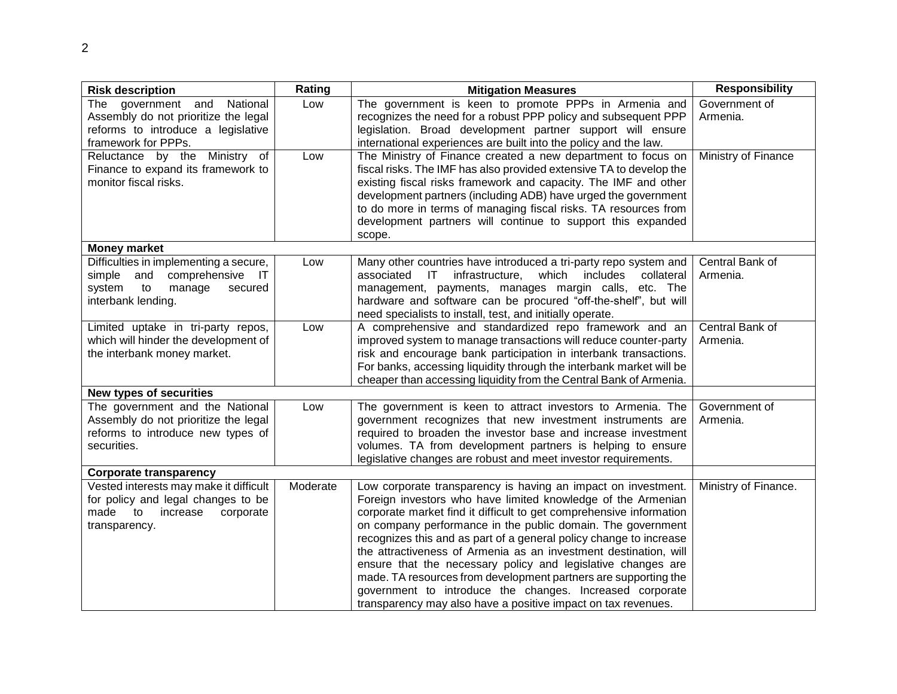| <b>Risk description</b>                | Rating   | <b>Mitigation Measures</b>                                                                                                       | <b>Responsibility</b> |
|----------------------------------------|----------|----------------------------------------------------------------------------------------------------------------------------------|-----------------------|
| The government and National            | Low      | The government is keen to promote PPPs in Armenia and                                                                            | Government of         |
| Assembly do not prioritize the legal   |          | recognizes the need for a robust PPP policy and subsequent PPP                                                                   | Armenia.              |
| reforms to introduce a legislative     |          | legislation. Broad development partner support will ensure                                                                       |                       |
| framework for PPPs.                    |          | international experiences are built into the policy and the law.                                                                 |                       |
| Ministry of<br>Reluctance by the       | Low      | The Ministry of Finance created a new department to focus on                                                                     | Ministry of Finance   |
| Finance to expand its framework to     |          | fiscal risks. The IMF has also provided extensive TA to develop the                                                              |                       |
| monitor fiscal risks.                  |          | existing fiscal risks framework and capacity. The IMF and other                                                                  |                       |
|                                        |          | development partners (including ADB) have urged the government                                                                   |                       |
|                                        |          | to do more in terms of managing fiscal risks. TA resources from                                                                  |                       |
|                                        |          | development partners will continue to support this expanded                                                                      |                       |
|                                        |          | scope.                                                                                                                           |                       |
| <b>Money market</b>                    |          |                                                                                                                                  |                       |
| Difficulties in implementing a secure, | Low      | Many other countries have introduced a tri-party repo system and                                                                 | Central Bank of       |
| comprehensive IT<br>simple and         |          | which includes<br>associated IT infrastructure.<br>collateral                                                                    | Armenia.              |
| manage<br>system<br>to<br>secured      |          | management, payments, manages margin calls, etc. The                                                                             |                       |
| interbank lending.                     |          | hardware and software can be procured "off-the-shelf", but will                                                                  |                       |
|                                        |          | need specialists to install, test, and initially operate.                                                                        |                       |
| Limited uptake in tri-party repos,     | Low      | A comprehensive and standardized repo framework and an                                                                           | Central Bank of       |
| which will hinder the development of   |          | improved system to manage transactions will reduce counter-party                                                                 | Armenia.              |
| the interbank money market.            |          | risk and encourage bank participation in interbank transactions.                                                                 |                       |
|                                        |          | For banks, accessing liquidity through the interbank market will be                                                              |                       |
|                                        |          | cheaper than accessing liquidity from the Central Bank of Armenia.                                                               |                       |
| <b>New types of securities</b>         |          |                                                                                                                                  |                       |
| The government and the National        | Low      | The government is keen to attract investors to Armenia. The                                                                      | Government of         |
| Assembly do not prioritize the legal   |          | government recognizes that new investment instruments are                                                                        | Armenia.              |
| reforms to introduce new types of      |          | required to broaden the investor base and increase investment                                                                    |                       |
| securities.                            |          | volumes. TA from development partners is helping to ensure                                                                       |                       |
|                                        |          | legislative changes are robust and meet investor requirements.                                                                   |                       |
| <b>Corporate transparency</b>          |          |                                                                                                                                  |                       |
| Vested interests may make it difficult | Moderate | Low corporate transparency is having an impact on investment.                                                                    | Ministry of Finance.  |
| for policy and legal changes to be     |          | Foreign investors who have limited knowledge of the Armenian                                                                     |                       |
| made<br>to<br>increase<br>corporate    |          | corporate market find it difficult to get comprehensive information                                                              |                       |
| transparency.                          |          | on company performance in the public domain. The government                                                                      |                       |
|                                        |          | recognizes this and as part of a general policy change to increase                                                               |                       |
|                                        |          | the attractiveness of Armenia as an investment destination, will<br>ensure that the necessary policy and legislative changes are |                       |
|                                        |          |                                                                                                                                  |                       |
|                                        |          |                                                                                                                                  |                       |
|                                        |          | made. TA resources from development partners are supporting the<br>government to introduce the changes. Increased corporate      |                       |